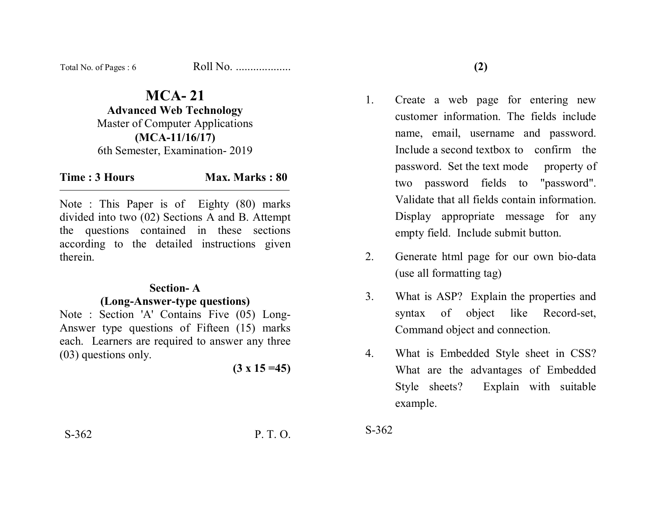| Total No. of Pages: 6 | Roll No. |
|-----------------------|----------|
|-----------------------|----------|

# **MCA- 21**

**Advanced Web Technology**  Master of Computer Applications **(MCA-11/16/17)**  6th Semester, Examination- 2019

### **Time : 3 Hours Max. Marks : 80**

Note : This Paper is of Eighty (80) marks divided into two (02) Sections A and B. Attempt the questions contained in these sections according to the detailed instructions given therein.

#### **Section- A**

#### **(Long-Answer-type questions)**

Note : Section 'A' Contains Five (05) Long-Answer type questions of Fifteen (15) marks each. Learners are required to answer any three (03) questions only.

**(3 x 15 =45)** 

- 1. Create a web page for entering new customer information. The fields include name, email, username and password. Include a second textbox to confirm the password. Set the text mode property of two password fields to "password". Validate that all fields contain information. Display appropriate message for any empty field. Include submit button.
- 2. Generate html page for our own bio-data (use all formatting tag)
- 3. What is ASP? Explain the properties and syntax of object like Record-set, Command object and connection.
- 4. What is Embedded Style sheet in CSS? What are the advantages of Embedded Style sheets? Explain with suitable example.

S-362 P. T. O.

S-362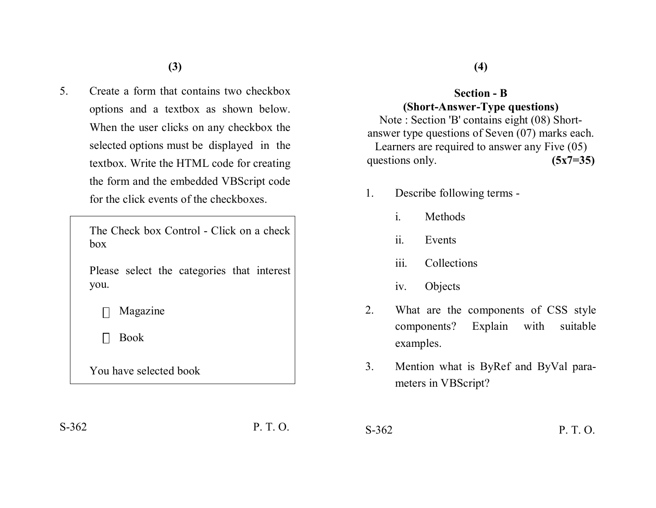5. Create a form that contains two checkbox options and a textbox as shown below. When the user clicks on any checkbox the selected options must be displayed in the textbox. Write the HTML code for creating the form and the embedded VBScript code for the click events of the checkboxes.

> The Check box Control - Click on a check box

Please select the categories that interest you.

 $\Box$  Magazine

Book

You have selected book

**(4)**

## **Section - B (Short-Answer-Type questions)**

Note : Section 'B' contains eight (08) Shortanswer type questions of Seven (07) marks each. Learners are required to answer any Five (05) questions only. **(5x7=35)** 

- 1. Describe following terms
	- i. Methods
	- ii. Events
	- iii. Collections
	- iv. Objects
- 2. What are the components of CSS style components? Explain with suitable examples.
- 3. Mention what is ByRef and ByVal parameters in VBScript?

S-362 P. T. O.